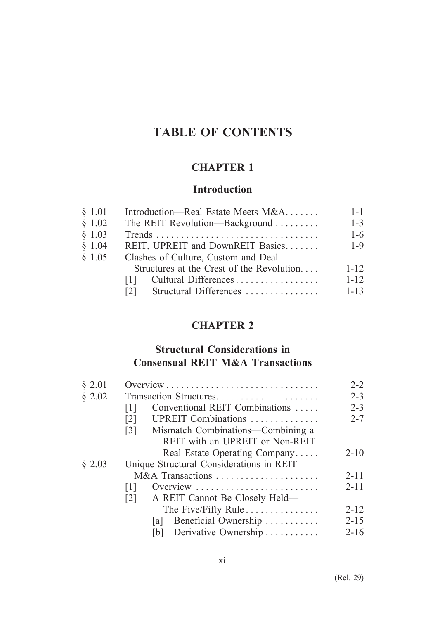# **TABLE OF CONTENTS**

## **CHAPTER 1**

#### **Introduction**

| § 1.01 | Introduction—Real Estate Meets M&A        | $1 - 1$  |
|--------|-------------------------------------------|----------|
| \$1.02 | The REIT Revolution—Background            | $1 - 3$  |
| \$1.03 |                                           | $1-6$    |
| \$1.04 | REIT, UPREIT and DownREIT Basics          | $1 - 9$  |
| \$1.05 | Clashes of Culture, Custom and Deal       |          |
|        | Structures at the Crest of the Revolution | $1 - 12$ |
|        | Cultural Differences<br>111               | $1 - 12$ |
|        | Structural Differences<br>121             | $1 - 13$ |

#### **CHAPTER 2**

#### **Structural Considerations in Consensual REIT M&A Transactions**

| § 2.01 |                                                        | $2 - 2$  |
|--------|--------------------------------------------------------|----------|
| § 2.02 | Transaction Structures                                 | $2 - 3$  |
|        | Conventional REIT Combinations<br>[1]                  | $2 - 3$  |
|        | UPREIT Combinations<br>$\lceil 2 \rceil$               | $2 - 7$  |
|        | Mismatch Combinations—Combining a<br>$\lceil 3 \rceil$ |          |
|        | REIT with an UPREIT or Non-REIT                        |          |
|        | Real Estate Operating Company                          | $2 - 10$ |
| § 2.03 | Unique Structural Considerations in REIT               |          |
|        | M&A Transactions                                       | $2 - 11$ |
|        | Overview<br> 1                                         | $2 - 11$ |
|        | A REIT Cannot Be Closely Held—<br>$\lceil 2 \rceil$    |          |
|        | The Five/Fifty Rule                                    | $2 - 12$ |
|        | Beneficial Ownership<br>la l                           | $2 - 15$ |
|        | Derivative Ownership<br> b                             | $2 - 16$ |
|        |                                                        |          |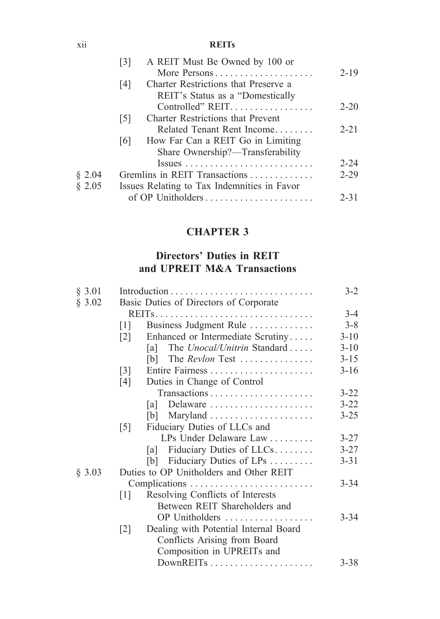#### xii **REITs**

|        | A REIT Must Be Owned by 100 or<br>131                                   |          |
|--------|-------------------------------------------------------------------------|----------|
|        | More Persons                                                            | $2 - 19$ |
|        | Charter Restrictions that Preserve a<br>14 I                            |          |
|        | REIT's Status as a "Domestically                                        |          |
|        | Controlled" REIT.                                                       | $2 - 20$ |
|        | <b>Charter Restrictions that Prevent</b><br> 5                          |          |
|        | Related Tenant Rent Income                                              | $2 - 21$ |
|        | How Far Can a REIT Go in Limiting<br> 6                                 |          |
|        | Share Ownership?—Transferability                                        |          |
|        | $Issues \ldots \ldots \ldots \ldots \ldots \ldots \ldots \ldots \ldots$ | $2 - 24$ |
| § 2.04 | Gremlins in REIT Transactions                                           | $2 - 29$ |
| \$2.05 | Issues Relating to Tax Indemnities in Favor                             |          |
|        | of OP Unitholders                                                       | $2 - 31$ |
|        |                                                                         |          |

### **CHAPTER 3**

### **Directors' Duties in REIT and UPREIT M&A Transactions**

| § 3.01 |                   |                                         |          |
|--------|-------------------|-----------------------------------------|----------|
| § 3.02 |                   | Basic Duties of Directors of Corporate  |          |
|        |                   |                                         | $3 - 4$  |
|        | $\lceil 1 \rceil$ | Business Judgment Rule                  | $3 - 8$  |
|        | 2                 | Enhanced or Intermediate Scrutiny       | $3-10$   |
|        |                   | The Unocal/Unitrin Standard<br>lal I    | $3 - 10$ |
|        |                   | [b] The <i>Revlon</i> Test              | $3 - 15$ |
|        | $\lceil 3 \rceil$ |                                         | $3-16$   |
|        | [4]               | Duties in Change of Control             |          |
|        |                   |                                         | $3 - 22$ |
|        |                   | Delaware<br> a                          | $3 - 22$ |
|        |                   |                                         | $3 - 25$ |
|        | $\lceil 5 \rceil$ | Fiduciary Duties of LLCs and            |          |
|        |                   | LPs Under Delaware Law                  | $3 - 27$ |
|        |                   | [a] Fiduciary Duties of $LLCs$          | $3 - 27$ |
|        |                   | [b] Fiduciary Duties of LPs             | $3 - 31$ |
| § 3.03 |                   | Duties to OP Unitholders and Other REIT |          |
|        |                   | Complications                           | $3 - 34$ |
|        | $[1]$             | Resolving Conflicts of Interests        |          |
|        |                   | Between REIT Shareholders and           |          |
|        |                   | OP Unitholders                          | $3 - 34$ |
|        | $\lceil 2 \rceil$ | Dealing with Potential Internal Board   |          |
|        |                   | Conflicts Arising from Board            |          |
|        |                   | Composition in UPREITs and              |          |
|        |                   |                                         | $3 - 38$ |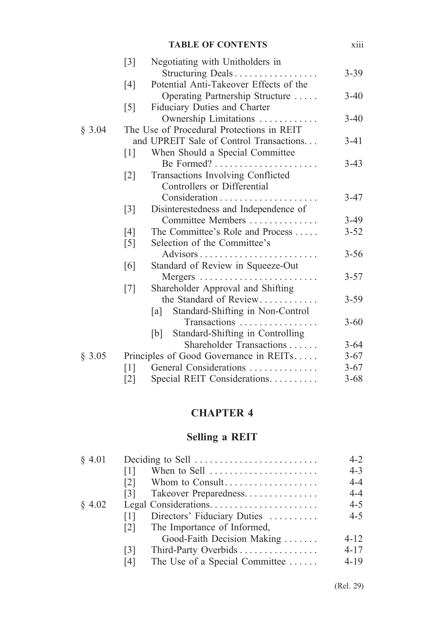|        |                   | <b>TABLE OF CONTENTS</b>                                         | xiii     |
|--------|-------------------|------------------------------------------------------------------|----------|
|        | $[3]$             | Negotiating with Unitholders in<br>Structuring Deals             | $3 - 39$ |
|        | [4]               | Potential Anti-Takeover Effects of the                           |          |
|        |                   | Operating Partnership Structure                                  | $3-40$   |
|        | $\lceil 5 \rceil$ | Fiduciary Duties and Charter                                     |          |
|        |                   | Ownership Limitations                                            | $3-40$   |
| § 3.04 |                   | The Use of Procedural Protections in REIT                        |          |
|        |                   | and UPREIT Sale of Control Transactions                          | $3 - 41$ |
|        | $\lceil 1 \rceil$ | When Should a Special Committee                                  |          |
|        |                   |                                                                  | $3-43$   |
|        | $\lceil 2 \rceil$ | Transactions Involving Conflicted<br>Controllers or Differential |          |
|        |                   |                                                                  | $3-47$   |
|        | $\lceil 3 \rceil$ | Disinterestedness and Independence of                            |          |
|        |                   | Committee Members                                                | $3-49$   |
|        | [4]               | The Committee's Role and Process                                 | $3 - 52$ |
|        | [5]               | Selection of the Committee's                                     |          |
|        |                   | Advisors $\dots\dots\dots\dots$                                  | $3 - 56$ |
|        | [6]               | Standard of Review in Squeeze-Out                                |          |
|        |                   |                                                                  | $3 - 57$ |
|        | [7]               | Shareholder Approval and Shifting                                |          |
|        |                   | the Standard of Review                                           | $3 - 59$ |
|        |                   | Standard-Shifting in Non-Control<br> a                           |          |
|        |                   | Transactions                                                     | $3 - 60$ |
|        |                   | Standard-Shifting in Controlling<br>[b]                          |          |
|        |                   | Shareholder Transactions                                         | $3 - 64$ |
| § 3.05 |                   | Principles of Good Governance in REITs                           | $3 - 67$ |
|        | $\lceil 1 \rceil$ | General Considerations                                           | $3 - 67$ |
|        | $\lceil 2 \rceil$ | Special REIT Considerations                                      | $3 - 68$ |

### **CHAPTER 4**

### **Selling a REIT**

| § 4.01    |                                                               | $4 - 2$  |
|-----------|---------------------------------------------------------------|----------|
|           | When to Sell $\dots\dots\dots\dots\dots\dots\dots\dots$<br> 1 | $4 - 3$  |
|           | Whom to Consult<br>$\lceil 2 \rceil$                          | $4 - 4$  |
|           | Takeover Preparedness<br>131                                  | $4 - 4$  |
| $\S$ 4.02 |                                                               | $4 - 5$  |
|           | Directors' Fiduciary Duties<br> 1                             | $4 - 5$  |
|           | The Importance of Informed,<br> 2                             |          |
|           | Good-Faith Decision Making                                    | $4 - 12$ |
|           | Third-Party Overbids<br>$\lceil 3 \rceil$                     | $4 - 17$ |
|           | The Use of a Special Committee<br>[4]                         | $4-19$   |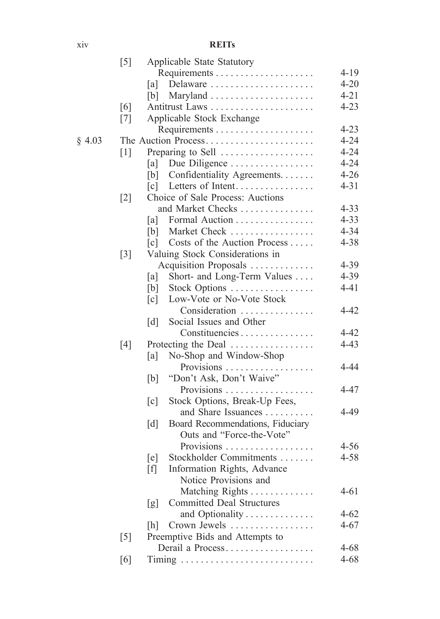xiv **REITs**

|        | $\lceil 5 \rceil$ | Applicable State Statutory                            |          |
|--------|-------------------|-------------------------------------------------------|----------|
|        |                   |                                                       | $4 - 19$ |
|        |                   | Delaware<br>[a]                                       | $4 - 20$ |
|        |                   | [b]                                                   | $4 - 21$ |
|        | [6]               | Antitrust Laws                                        | $4 - 23$ |
|        | $\lceil 7 \rceil$ | Applicable Stock Exchange                             |          |
|        |                   |                                                       | $4 - 23$ |
| § 4.03 |                   | The Auction Process                                   | $4 - 24$ |
|        | $\lceil 1 \rceil$ | Preparing to Sell                                     | $4 - 24$ |
|        |                   | Due Diligence<br>[a]                                  | $4 - 24$ |
|        |                   | Confidentiality Agreements.<br>[b]                    | $4 - 26$ |
|        |                   | Letters of Intent<br>$\lceil c \rceil$                | $4 - 31$ |
|        | $\lceil 2 \rceil$ | Choice of Sale Process: Auctions                      |          |
|        |                   | and Market Checks                                     | $4 - 33$ |
|        |                   | Formal Auction<br>[a]                                 | $4 - 33$ |
|        |                   | Market Check<br>[b]                                   | $4 - 34$ |
|        |                   | Costs of the Auction Process<br>$\lceil c \rceil$     | 4-38     |
|        | $\lceil 3 \rceil$ | Valuing Stock Considerations in                       |          |
|        |                   | Acquisition Proposals                                 | 4-39     |
|        |                   | Short- and Long-Term Values<br>[a]                    | 4-39     |
|        |                   | Stock Options<br>[b]                                  | $4 - 41$ |
|        |                   | Low-Vote or No-Vote Stock<br>$\lceil c \rceil$        |          |
|        |                   | Consideration                                         | 4-42     |
|        |                   | Social Issues and Other<br>$\lceil d \rceil$          |          |
|        |                   | Constituencies                                        | $4 - 42$ |
|        | [4]               | Protecting the Deal                                   | $4 - 43$ |
|        |                   | No-Shop and Window-Shop<br>[a]                        |          |
|        |                   | Provisions                                            | $4 - 44$ |
|        |                   | "Don't Ask, Don't Waive"<br>[b]                       |          |
|        |                   | Provisions                                            | $4 - 47$ |
|        |                   | Stock Options, Break-Up Fees,<br>$\lceil c \rceil$    |          |
|        |                   | and Share Issuances                                   | $4 - 49$ |
|        |                   | Board Recommendations, Fiduciary<br>$\lceil d \rceil$ |          |
|        |                   | Outs and "Force-the-Vote"                             |          |
|        |                   | Provisions                                            | $4 - 56$ |
|        |                   | Stockholder Commitments<br>[e]                        | $4 - 58$ |
|        |                   | Information Rights, Advance<br>$[f]$                  |          |
|        |                   | Notice Provisions and                                 |          |
|        |                   | Matching Rights                                       | $4 - 61$ |
|        |                   | <b>Committed Deal Structures</b><br>[g]               |          |
|        |                   | and Optionality                                       | $4 - 62$ |
|        |                   | Crown Jewels<br>[h]                                   | $4 - 67$ |
|        | $[5]$             | Preemptive Bids and Attempts to                       |          |
|        |                   | Derail a Process                                      | $4 - 68$ |
|        | [6]               |                                                       | $4 - 68$ |
|        |                   |                                                       |          |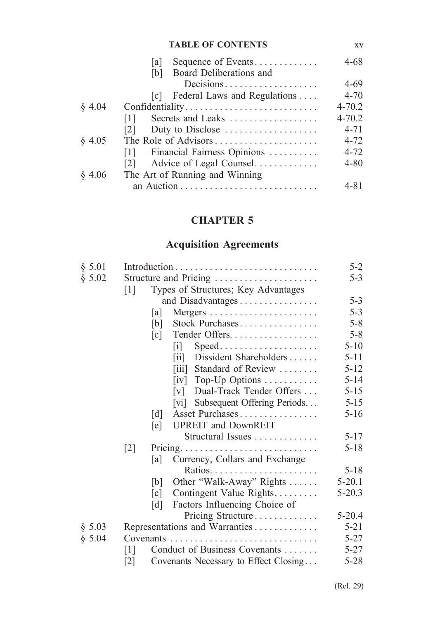#### **TABLE OF CONTENTS** xv

|        | Sequence of Events<br>la l                   | 4-68       |
|--------|----------------------------------------------|------------|
|        | Board Deliberations and<br>[b]               |            |
|        | Decisions                                    | $4 - 69$   |
|        | [c] Federal Laws and Regulations             | $4 - 70$   |
| § 4.04 | Confidentiality                              | $4 - 70.2$ |
|        | Secrets and Leaks<br>$\lceil 1 \rceil$       | $4 - 70.2$ |
|        | Duty to Disclose<br>$\lceil 2 \rceil$        | $4 - 71$   |
| § 4.05 | The Role of Advisors                         | $4 - 72$   |
|        | Financial Fairness Opinions<br> 1            | $4 - 72$   |
|        | Advice of Legal Counsel<br>$\lceil 2 \rceil$ | 4-80       |
| § 4.06 | The Art of Running and Winning               |            |
|        |                                              | 4-81       |

#### **CHAPTER 5**

## **Acquisition Agreements**

| § 5.01 |                                                             | $5 - 2$    |
|--------|-------------------------------------------------------------|------------|
| \$5.02 | Structure and Pricing                                       | $5 - 3$    |
|        | Types of Structures; Key Advantages<br>$[1]$                |            |
|        | and Disadvantages                                           | $5 - 3$    |
|        | [a]                                                         | $5 - 3$    |
|        | Stock Purchases<br>[b]                                      | $5 - 8$    |
|        | Tender Offers<br>$\lceil c \rceil$                          | $5 - 8$    |
|        | $Speed \dots \dots \dots \dots \dots \dots \dots$<br> 1     | $5 - 10$   |
|        | Dissident Shareholders<br>$\overline{\mathbf{u}}$           | $5 - 11$   |
|        | Standard of Review<br>$\left\lceil \text{iii} \right\rceil$ | $5 - 12$   |
|        | Top-Up Options<br>$\lceil iv \rceil$                        | $5 - 14$   |
|        | Dual-Track Tender Offers<br>$\lceil v \rceil$               | $5 - 15$   |
|        | Subsequent Offering Periods<br> vi                          | $5 - 15$   |
|        | Asset Purchases<br>$\lceil d \rceil$                        | $5-16$     |
|        | <b>UPREIT</b> and DownREIT<br>[e]                           |            |
|        | Structural Issues                                           | $5 - 17$   |
|        | $\lceil 2 \rceil$                                           | $5 - 18$   |
|        | Currency, Collars and Exchange<br>[a]                       |            |
|        |                                                             | $5 - 18$   |
|        | Other "Walk-Away" Rights<br>[b]                             | $5 - 20.1$ |
|        | Contingent Value Rights<br>$\lceil c \rceil$                | $5 - 20.3$ |
|        | Factors Influencing Choice of<br>$\lceil d \rceil$          |            |
|        | Pricing Structure                                           | $5 - 20.4$ |
| § 5.03 | Representations and Warranties                              | $5 - 21$   |
| \$5.04 |                                                             | $5 - 27$   |
|        | Conduct of Business Covenants<br>$\lceil 1 \rceil$          | $5 - 27$   |
|        | Covenants Necessary to Effect Closing<br>[2]                | $5 - 28$   |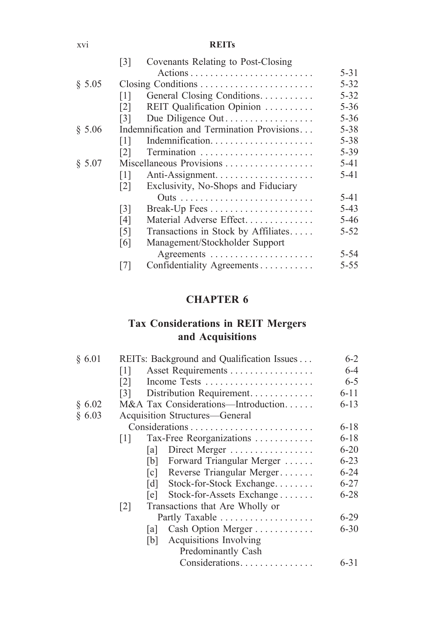xvi **REITs**

|        | $\lceil 3 \rceil$        | Covenants Relating to Post-Closing         |          |
|--------|--------------------------|--------------------------------------------|----------|
|        |                          |                                            | $5 - 31$ |
| § 5.05 |                          |                                            | $5 - 32$ |
|        | $\lceil 1 \rceil$        | General Closing Conditions.                | $5 - 32$ |
|        | 121                      | REIT Qualification Opinion                 | $5 - 36$ |
|        | $\lceil 3 \rceil$        | Due Diligence Out                          | $5 - 36$ |
| § 5.06 |                          | Indemnification and Termination Provisions | 5-38     |
|        | 111                      | Indemnification                            | $5 - 38$ |
|        | 121                      |                                            | 5-39     |
| \$5.07 | Miscellaneous Provisions |                                            |          |
|        | $\lceil 1 \rceil$        |                                            | 5-41     |
|        | $\lceil 2 \rceil$        | Exclusivity, No-Shops and Fiduciary        |          |
|        |                          |                                            | $5-41$   |
|        | $\lceil 3 \rceil$        |                                            | $5-43$   |
|        | [4]                      | Material Adverse Effect                    | $5 - 46$ |
|        | $\lceil 5 \rceil$        | Transactions in Stock by Affiliates        | $5 - 52$ |
|        | [6]                      | Management/Stockholder Support             |          |
|        |                          |                                            | $5 - 54$ |
|        |                          | Confidentiality Agreements                 | 5-55     |

### **CHAPTER 6**

### **Tax Considerations in REIT Mergers and Acquisitions**

| § 6.01 |                   |      | REITs: Background and Qualification Issues | $6-2$    |
|--------|-------------------|------|--------------------------------------------|----------|
|        | $\lceil 1 \rceil$ |      | Asset Requirements                         | 6-4      |
|        | [2]               |      | Income Tests                               | $6 - 5$  |
|        | $\lceil 3 \rceil$ |      | Distribution Requirement                   | $6 - 11$ |
| § 6.02 |                   |      | M&A Tax Considerations—Introduction        | $6 - 13$ |
| § 6.03 |                   |      | Acquisition Structures—General             |          |
|        |                   |      |                                            | $6 - 18$ |
|        | 1                 |      | Tax-Free Reorganizations                   | $6 - 18$ |
|        |                   | la l | Direct Merger                              | $6 - 20$ |
|        |                   | b    | Forward Triangular Merger                  | $6 - 23$ |
|        |                   | c    | Reverse Triangular Merger                  | $6 - 24$ |
|        |                   | [d]  | Stock-for-Stock Exchange                   | $6 - 27$ |
|        |                   | le l | Stock-for-Assets Exchange                  | $6 - 28$ |
|        | $\lceil 2 \rceil$ |      | Transactions that Are Wholly or            |          |
|        |                   |      |                                            | $6-29$   |
|        |                   | la l | Cash Option Merger                         | $6 - 30$ |
|        |                   | b    | Acquisitions Involving                     |          |
|        |                   |      | Predominantly Cash                         |          |
|        |                   |      | Considerations                             | $6 - 31$ |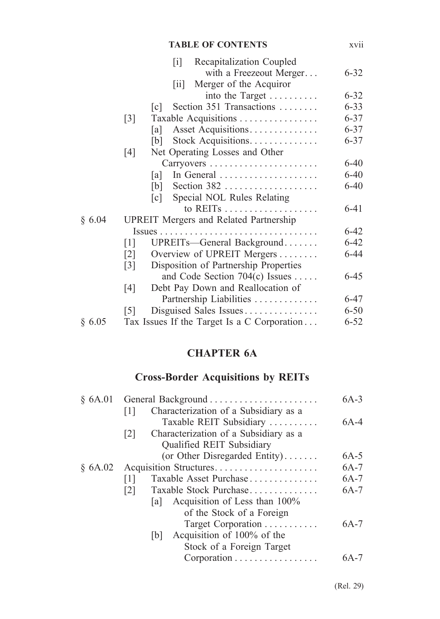|        | <b>TABLE OF CONTENTS</b>                                                                                                      | xvii     |
|--------|-------------------------------------------------------------------------------------------------------------------------------|----------|
|        | Recapitalization Coupled<br>$\lceil i \rceil$<br>with a Freezeout Merger<br>Merger of the Acquiror<br>$\overline{\mathbf{u}}$ | $6 - 32$ |
|        | into the Target                                                                                                               | $6 - 32$ |
|        | Section 351 Transactions<br> c                                                                                                | $6 - 33$ |
|        | Taxable Acquisitions<br>$\lceil 3 \rceil$                                                                                     | $6 - 37$ |
|        | Asset Acquisitions<br> a                                                                                                      | $6 - 37$ |
|        | Stock Acquisitions<br> b                                                                                                      | $6 - 37$ |
|        | Net Operating Losses and Other<br>[4]                                                                                         |          |
|        |                                                                                                                               | $6 - 40$ |
|        | In General<br>lal                                                                                                             | $6 - 40$ |
|        | Section $382$<br>[b]                                                                                                          | $6 - 40$ |
|        | Special NOL Rules Relating<br>$\lceil c \rceil$                                                                               |          |
|        |                                                                                                                               | $6 - 41$ |
| § 6.04 | <b>UPREIT</b> Mergers and Related Partnership                                                                                 |          |
|        | $Issues \ldots \ldots \ldots \ldots \ldots \ldots \ldots \ldots \ldots \ldots$                                                | $6 - 42$ |
|        | UPREITs-General Background<br>$\lceil 1 \rceil$                                                                               | $6 - 42$ |
|        | Overview of UPREIT Mergers<br>$\lceil 2 \rceil$                                                                               | $6 - 44$ |
|        | Disposition of Partnership Properties<br>$\lceil 3 \rceil$                                                                    |          |
|        | and Code Section 704(c) Issues                                                                                                | $6 - 45$ |
|        | Debt Pay Down and Reallocation of<br>[4]                                                                                      |          |
|        | Partnership Liabilities                                                                                                       | $6 - 47$ |
|        | Disguised Sales Issues<br>$\lceil 5 \rceil$                                                                                   | $6 - 50$ |
| § 6.05 | Tax Issues If the Target Is a C Corporation                                                                                   | $6 - 52$ |

## **CHAPTER 6A**

## **Cross-Border Acquisitions by REITs**

| \$6A.01                                     | $6A-3$ |
|---------------------------------------------|--------|
| Characterization of a Subsidiary as a<br>ПI |        |
| Taxable REIT Subsidiary                     | 6A-4   |
| Characterization of a Subsidiary as a<br> 2 |        |
| Qualified REIT Subsidiary                   |        |
| (or Other Disregarded Entity)               | $6A-5$ |
| Acquisition Structures<br>\$6A.02\$         | $6A-7$ |
| Taxable Asset Purchase<br>$\lceil 1 \rceil$ | $6A-7$ |
| Taxable Stock Purchase<br>$\lceil 2 \rceil$ | $6A-7$ |
| Acquisition of Less than 100%<br>la         |        |
| of the Stock of a Foreign                   |        |
| Target Corporation                          | $6A-7$ |
| Acquisition of 100% of the<br> b            |        |
| Stock of a Foreign Target                   |        |
| Corporation                                 | 6A-7   |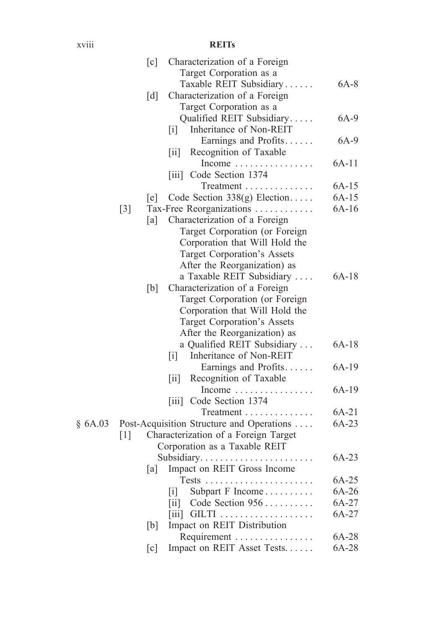#### xviii **REITs**

|         | [c]               | Characterization of a Foreign                                 |         |
|---------|-------------------|---------------------------------------------------------------|---------|
|         |                   | Target Corporation as a                                       |         |
|         |                   | Taxable REIT Subsidiary                                       | $6A-8$  |
|         | [d]               | Characterization of a Foreign                                 |         |
|         |                   | Target Corporation as a                                       |         |
|         |                   | Qualified REIT Subsidiary                                     | 6A-9    |
|         |                   | Inheritance of Non-REIT<br> 1                                 |         |
|         |                   | Earnings and Profits                                          | 6A-9    |
|         |                   | Recognition of Taxable<br>$\left\lceil \text{i} \right\rceil$ |         |
|         |                   | Income $\ldots \ldots \ldots \ldots \ldots$                   | $6A-11$ |
|         |                   | [iii] Code Section 1374                                       |         |
|         |                   | Treatment                                                     | $6A-15$ |
|         | [e]               | Code Section $338(g)$ Election                                | $6A-15$ |
|         | $[3]$             | Tax-Free Reorganizations                                      | $6A-16$ |
|         | [a]               | Characterization of a Foreign                                 |         |
|         |                   | Target Corporation (or Foreign                                |         |
|         |                   | Corporation that Will Hold the                                |         |
|         |                   | Target Corporation's Assets                                   |         |
|         |                   | After the Reorganization) as                                  |         |
|         |                   | a Taxable REIT Subsidiary                                     | $6A-18$ |
|         | [b]               | Characterization of a Foreign                                 |         |
|         |                   | Target Corporation (or Foreign                                |         |
|         |                   | Corporation that Will Hold the                                |         |
|         |                   | Target Corporation's Assets                                   |         |
|         |                   | After the Reorganization) as                                  |         |
|         |                   | a Qualified REIT Subsidiary                                   | $6A-18$ |
|         |                   | Inheritance of Non-REIT<br>$\lceil i \rceil$                  |         |
|         |                   | Earnings and Profits                                          | 6A-19   |
|         |                   | Recognition of Taxable<br>$\left\lceil \text{i} \right\rceil$ |         |
|         |                   | Income $\ldots \ldots \ldots \ldots$                          | $6A-19$ |
|         |                   | Code Section 1374<br>$\left\lceil \frac{1}{111} \right\rceil$ |         |
|         |                   | Treatment                                                     | $6A-21$ |
| § 6A.03 |                   | Post-Acquisition Structure and Operations                     | 6A-23   |
|         | $\lceil 1 \rceil$ | Characterization of a Foreign Target                          |         |
|         |                   | Corporation as a Taxable REIT                                 |         |
|         |                   |                                                               | $6A-23$ |
|         | [a]               | Impact on REIT Gross Income                                   |         |
|         |                   | Tests.                                                        | $6A-25$ |
|         |                   | Subpart F Income<br> 1                                        | 6A-26   |
|         |                   | Code Section 956<br>$\left[\text{iii}\right]$                 | 6A-27   |
|         |                   | $\vert \overline{\text{iii}} \vert$                           | 6A-27   |
|         | [b]               | Impact on REIT Distribution                                   |         |
|         |                   | Requirement                                                   | 6A-28   |
|         | $\lceil c \rceil$ | Impact on REIT Asset Tests                                    | 6A-28   |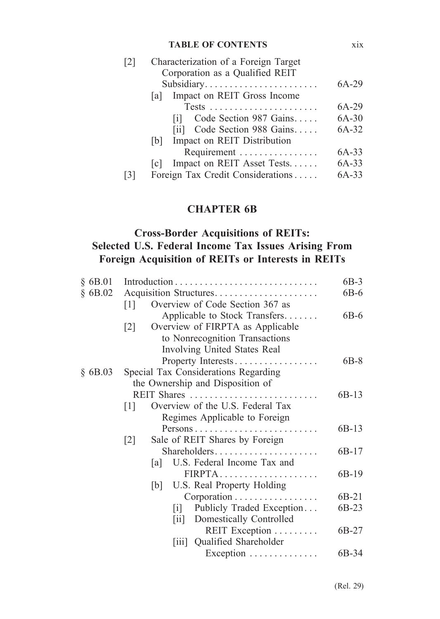#### **TABLE OF CONTENTS** xix

| 2 | Characterization of a Foreign Target                     |         |  |  |
|---|----------------------------------------------------------|---------|--|--|
|   | Corporation as a Qualified REIT                          |         |  |  |
|   | Subsidiary                                               | 6A-29   |  |  |
|   | Impact on REIT Gross Income<br>lal                       |         |  |  |
|   | $Tests \ldots \ldots \ldots \ldots \ldots \ldots \ldots$ | 6A-29   |  |  |
|   | Code Section 987 Gains<br> 1                             | $6A-30$ |  |  |
|   | [ii] Code Section 988 Gains                              | 6A-32   |  |  |
|   | Impact on REIT Distribution<br> b                        |         |  |  |
|   | Requirement                                              | $6A-33$ |  |  |
|   | Impact on REIT Asset Tests<br> c                         | $6A-33$ |  |  |
| 3 | Foreign Tax Credit Considerations                        | 6A-33   |  |  |
|   |                                                          |         |  |  |

#### **CHAPTER 6B**

#### **Cross-Border Acquisitions of REITs: Selected U.S. Federal Income Tax Issues Arising From Foreign Acquisition of REITs or Interests in REITs**

| $§$ 6B.01 |                                                       | $6B-3$ |
|-----------|-------------------------------------------------------|--------|
| \$6B.02   | Acquisition Structures                                | $6B-6$ |
|           | Overview of Code Section 367 as<br>111                |        |
|           | Applicable to Stock Transfers                         | $6B-6$ |
|           | Overview of FIRPTA as Applicable<br>$\lceil 2 \rceil$ |        |
|           | to Nonrecognition Transactions                        |        |
|           | Involving United States Real                          |        |
|           | Property Interests                                    | $6B-8$ |
| $§$ 6B.03 | Special Tax Considerations Regarding                  |        |
|           | the Ownership and Disposition of                      |        |
|           |                                                       | 6B-13  |
|           | Overview of the U.S. Federal Tax<br>$\lceil 1 \rceil$ |        |
|           | Regimes Applicable to Foreign                         |        |
|           |                                                       | 6B-13  |
|           | Sale of REIT Shares by Foreign<br>$\lceil 2 \rceil$   |        |
|           | Shareholders                                          | 6B-17  |
|           | U.S. Federal Income Tax and<br> a                     |        |
|           | FIRPTA                                                | 6B-19  |
|           | [b] U.S. Real Property Holding                        |        |
|           | $Corporation \ldots \ldots \ldots \ldots \ldots$      | 6B-21  |
|           | Publicly Traded Exception<br> 1                       | 6B-23  |
|           | [ii] Domestically Controlled                          |        |
|           | REIT Exception                                        | 6B-27  |
|           | Qualified Shareholder<br>$\vert$ 111 $\vert$          |        |
|           | Exception                                             | 6B-34  |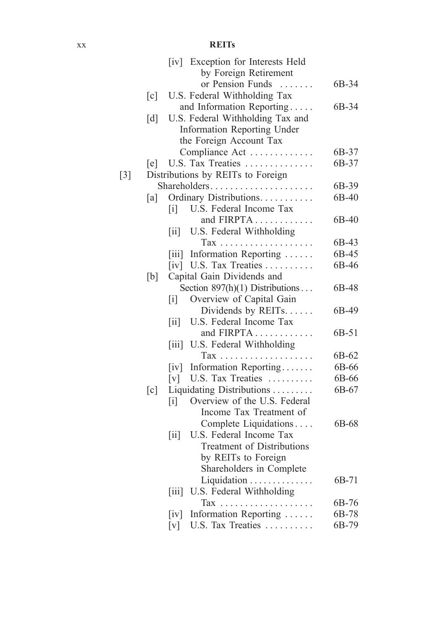#### xx **REIT s**

|                   |                   |                                                | [iv] Exception for Interests Held                                         |       |
|-------------------|-------------------|------------------------------------------------|---------------------------------------------------------------------------|-------|
|                   |                   |                                                | by Foreign Retirement                                                     |       |
|                   |                   |                                                | or Pension Funds<br>.                                                     | 6B-34 |
|                   | $\lceil c \rceil$ |                                                | U.S. Federal Withholding Tax                                              |       |
|                   |                   |                                                | and Information Reporting                                                 | 6B-34 |
|                   | $\lceil d \rceil$ |                                                | U.S. Federal Withholding Tax and                                          |       |
|                   |                   |                                                | Information Reporting Under                                               |       |
|                   |                   |                                                | the Foreign Account Tax                                                   |       |
|                   |                   |                                                | Compliance Act                                                            | 6B-37 |
|                   | [e]               |                                                | U.S. Tax Treaties                                                         | 6B-37 |
| $\lceil 3 \rceil$ |                   |                                                | Distributions by REITs to Foreign                                         |       |
|                   |                   |                                                | Shareholders                                                              | 6B-39 |
|                   | [a]               |                                                | Ordinary Distributions.                                                   | 6B-40 |
|                   |                   | $\lceil i \rceil$                              | U.S. Federal Income Tax                                                   |       |
|                   |                   |                                                | and FIRPTA                                                                | 6B-40 |
|                   |                   | 11                                             | U.S. Federal Withholding                                                  |       |
|                   |                   |                                                | Tax                                                                       | 6B-43 |
|                   |                   | $\left\lceil \text{iii} \right\rceil$          | $\mathbb{Z}^2$ . $\mathbb{Z}^2$ , $\mathbb{Z}^2$<br>Information Reporting | 6B-45 |
|                   |                   |                                                | [iv] U.S. Tax Treaties                                                    | 6B-46 |
|                   | [b]               |                                                | Capital Gain Dividends and                                                |       |
|                   |                   |                                                | Section $897(h)(1)$ Distributions                                         | 6B-48 |
|                   |                   | $\left[ \begin{matrix} i \end{matrix} \right]$ | Overview of Capital Gain                                                  |       |
|                   |                   |                                                | Dividends by REITs                                                        | 6B-49 |
|                   |                   |                                                | U.S. Federal Income Tax                                                   |       |
|                   |                   | $\left[\text{iii}\right]$                      | and FIRPTA                                                                |       |
|                   |                   | [iii]                                          |                                                                           | 6B-51 |
|                   |                   |                                                | U.S. Federal Withholding                                                  |       |
|                   |                   |                                                | Tax                                                                       | 6B-62 |
|                   |                   | $\lceil iv \rceil$                             | Information Reporting                                                     | 6B-66 |
|                   |                   | $\lceil v \rceil$                              | U.S. Tax Treaties                                                         | 6B-66 |
|                   | [c]               |                                                | Liquidating Distributions                                                 | 6B-67 |
|                   |                   | $\left[ \begin{matrix} 1 \end{matrix} \right]$ | Overview of the U.S. Federal                                              |       |
|                   |                   |                                                | Income Tax Treatment of                                                   |       |
|                   |                   |                                                | Complete Liquidations                                                     | 6B-68 |
|                   |                   | $\left[ \text{ii} \right]$                     | U.S. Federal Income Tax                                                   |       |
|                   |                   |                                                | <b>Treatment of Distributions</b>                                         |       |
|                   |                   |                                                | by REITs to Foreign                                                       |       |
|                   |                   |                                                | Shareholders in Complete                                                  |       |
|                   |                   |                                                | Liquidation                                                               | 6B-71 |
|                   |                   | $\left[ 111 \right]$                           | U.S. Federal Withholding                                                  |       |
|                   |                   |                                                |                                                                           | 6B-76 |
|                   |                   | $\left[iv\right]$                              | Information Reporting                                                     | 6B-78 |
|                   |                   | $\lceil v \rceil$                              | U.S. Tax Treaties                                                         | 6B-79 |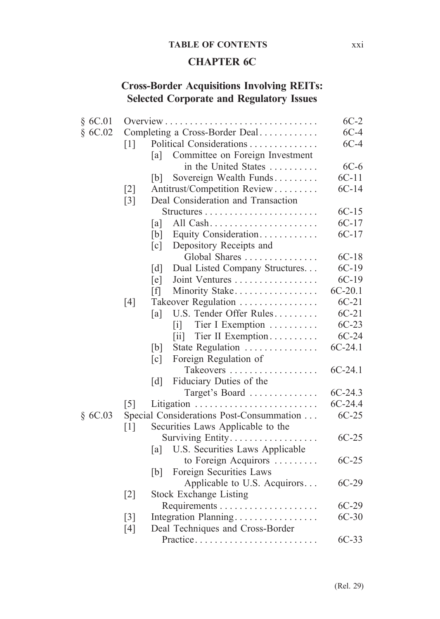#### **TABLE OF CONTENTS** xxi

#### **CHAPTER 6C**

### **Cross-Border Acquisitions Involving REITs: Selected Corporate and Regulatory Issues**

| § 6C.01 |                   |                                                     | $6C-2$    |
|---------|-------------------|-----------------------------------------------------|-----------|
| \$6C.02 |                   | Completing a Cross-Border Deal                      | $6C-4$    |
|         | $\lceil 1 \rceil$ | Political Considerations                            | $6C-4$    |
|         |                   | Committee on Foreign Investment<br>[a]              |           |
|         |                   | in the United States                                | $6C-6$    |
|         |                   | Sovereign Wealth Funds<br> b                        | $6C-11$   |
|         | $\lceil 2 \rceil$ | Antitrust/Competition Review                        | $6C-14$   |
|         | $\lceil 3 \rceil$ | Deal Consideration and Transaction                  |           |
|         |                   |                                                     | $6C-15$   |
|         |                   | [a]                                                 | $6C-17$   |
|         |                   | Equity Consideration<br>[b]                         | $6C-17$   |
|         |                   | Depository Receipts and<br>$\lceil c \rceil$        |           |
|         |                   | Global Shares                                       | $6C-18$   |
|         |                   | Dual Listed Company Structures<br>$\lceil d \rceil$ | $6C-19$   |
|         |                   | Joint Ventures<br>$[$ e $]$                         | $6C-19$   |
|         |                   | [f]<br>Minority Stake                               | $6C-20.1$ |
|         | [4]               | Takeover Regulation                                 | $6C-21$   |
|         |                   | U.S. Tender Offer Rules<br>[a]                      | $6C-21$   |
|         |                   | Tier I Exemption<br>$\lceil i \rceil$               | $6C-23$   |
|         |                   | Tier II Exemption<br>$\left[\text{iii}\right]$      | $6C-24$   |
|         |                   | State Regulation<br>[b]                             | $6C-24.1$ |
|         |                   | Foreign Regulation of<br>$\lceil c \rceil$          |           |
|         |                   | Takeovers                                           | $6C-24.1$ |
|         |                   | Fiduciary Duties of the<br>$\lceil d \rceil$        |           |
|         |                   | Target's Board                                      | $6C-24.3$ |
|         | $\lceil 5 \rceil$ |                                                     | $6C-24.4$ |
| §6C.03  |                   | Special Considerations Post-Consummation            | $6C-25$   |
|         | [1]               | Securities Laws Applicable to the                   |           |
|         |                   | Surviving Entity.                                   | $6C-25$   |
|         |                   | U.S. Securities Laws Applicable<br>[a]              |           |
|         |                   | to Foreign Acquirors                                | $6C-25$   |
|         |                   | Foreign Securities Laws<br>[b]                      |           |
|         |                   | Applicable to U.S. Acquirors                        | $6C-29$   |
|         | $\lceil 2 \rceil$ | <b>Stock Exchange Listing</b>                       |           |
|         |                   |                                                     | $6C-29$   |
|         | $\lceil 3 \rceil$ | Integration Planning                                | $6C-30$   |
|         | [4]               | Deal Techniques and Cross-Border                    |           |
|         |                   |                                                     | $6C-33$   |
|         |                   | Practice                                            |           |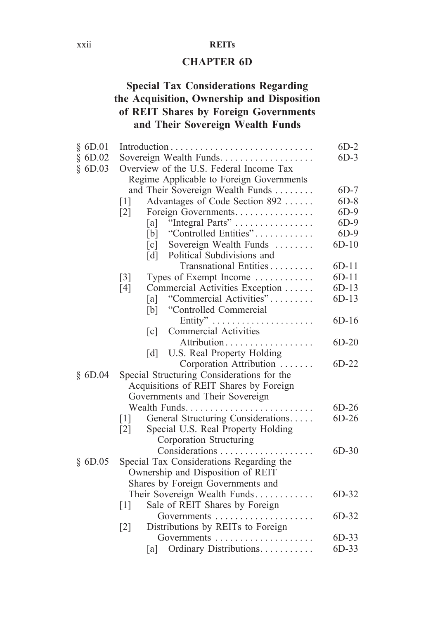#### xxii **REITs**

#### **CHAPTER 6D**

#### **Special Tax Considerations Regarding the Acquisition, Ownership and Disposition of REIT Shares by Foreign Governments and Their Sovereign Wealth Funds**

| \$6D.01 |                   |                                                   | $6D-2$  |
|---------|-------------------|---------------------------------------------------|---------|
| \$6D.02 |                   | Sovereign Wealth Funds.                           | $6D-3$  |
| \$6D.03 |                   | Overview of the U.S. Federal Income Tax           |         |
|         |                   | Regime Applicable to Foreign Governments          |         |
|         |                   | and Their Sovereign Wealth Funds                  | $6D-7$  |
|         | $\lceil 1 \rceil$ | Advantages of Code Section 892                    | $6D-8$  |
|         | $\lceil 2 \rceil$ | Foreign Governments                               | $6D-9$  |
|         |                   | "Integral Parts"<br>[a]                           | $6D-9$  |
|         |                   | "Controlled Entities"<br>[b]                      | $6D-9$  |
|         |                   | [c]<br>Sovereign Wealth Funds                     | $6D-10$ |
|         |                   | [d] Political Subdivisions and                    |         |
|         |                   | Transnational Entities                            | $6D-11$ |
|         | $\lceil 3 \rceil$ | Types of Exempt Income                            | $6D-11$ |
|         | [4]               | Commercial Activities Exception                   | $6D-13$ |
|         |                   | "Commercial Activities"<br>[a]                    | $6D-13$ |
|         |                   | "Controlled Commercial<br>[b]                     |         |
|         |                   |                                                   | $6D-16$ |
|         |                   | <b>Commercial Activities</b><br>$\lceil c \rceil$ |         |
|         |                   | Attribution                                       | $6D-20$ |
|         |                   | U.S. Real Property Holding<br>$\lceil d \rceil$   |         |
|         |                   | Corporation Attribution                           | $6D-22$ |
| \$6D.04 |                   | Special Structuring Considerations for the        |         |
|         |                   | Acquisitions of REIT Shares by Foreign            |         |
|         |                   | Governments and Their Sovereign                   |         |
|         |                   | Wealth Funds                                      | $6D-26$ |
|         | $\lceil 1 \rceil$ | General Structuring Considerations                | $6D-26$ |
|         | $\lceil 2 \rceil$ | Special U.S. Real Property Holding                |         |
|         |                   | Corporation Structuring                           |         |
|         |                   | Considerations                                    | $6D-30$ |
| \$6D.05 |                   | Special Tax Considerations Regarding the          |         |
|         |                   | Ownership and Disposition of REIT                 |         |
|         |                   | Shares by Foreign Governments and                 |         |
|         |                   | Their Sovereign Wealth Funds                      | $6D-32$ |
|         | [1]               | Sale of REIT Shares by Foreign                    |         |
|         |                   | Governments                                       | 6D-32   |
|         | $\lceil 2 \rceil$ | Distributions by REITs to Foreign                 |         |
|         |                   | Governments                                       | $6D-33$ |
|         |                   | Ordinary Distributions.<br>[a]                    | $6D-33$ |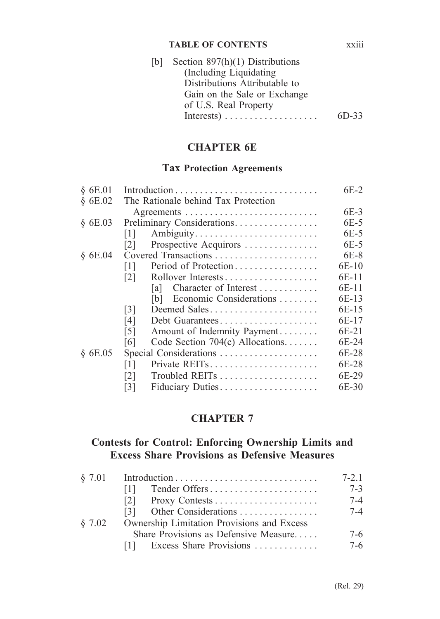#### **TABLE OF CONTENTS** xxiii

| [b] | Section $897(h)(1)$ Distributions |         |
|-----|-----------------------------------|---------|
|     | (Including Liquidating            |         |
|     | Distributions Attributable to     |         |
|     | Gain on the Sale or Exchange      |         |
|     | of U.S. Real Property             |         |
|     |                                   | $6D-33$ |
|     |                                   |         |

#### **CHAPTER 6E**

#### **Tax Protection Agreements**

| § 6E.01 |                                                  | $6E-2$  |
|---------|--------------------------------------------------|---------|
| \$6E.02 | The Rationale behind Tax Protection              |         |
|         |                                                  | $6E-3$  |
| \$6E.03 | Preliminary Considerations.                      | $6E-5$  |
|         | Ambiguity<br>$\lceil 1 \rceil$                   | 6E-5    |
|         | Prospective Acquirors<br>121                     | 6E-5    |
| \$6E.04 | Covered Transactions                             | $6E-8$  |
|         | Period of Protection<br>  1                      | 6E-10   |
|         | $\lceil 2 \rceil$                                | 6E-11   |
|         | Character of Interest<br>lal                     | 6E-11   |
|         | Economic Considerations<br>IbI                   | 6E-13   |
|         | Deemed Sales<br>$\lceil 3 \rceil$                | 6E-15   |
|         | [4]<br>Debt Guarantees                           | 6E-17   |
|         | $\lceil 5 \rceil$<br>Amount of Indemnity Payment | 6E-21   |
|         | Code Section 704(c) Allocations<br>[6]           | $6E-24$ |
| \$6E.05 | Special Considerations                           | 6E-28   |
|         | Private REITs<br>  1                             | 6E-28   |
|         | 121                                              | 6E-29   |
|         | Fiduciary Duties<br>$\lceil 3 \rceil$            | 6E-30   |
|         |                                                  |         |

#### **CHAPTER 7**

#### **Contests for Control: Enforcing Ownership Limits and Excess Share Provisions as Defensive Measures**

|        |                                            | $7 - 21$ |
|--------|--------------------------------------------|----------|
|        | Tender Offers<br>111                       | $7 - 3$  |
|        | 121                                        | $7 - 4$  |
|        |                                            | $7 - 4$  |
| \$7.02 | Ownership Limitation Provisions and Excess |          |
|        | Share Provisions as Defensive Measure      | $7-6$    |
|        | $[1]$ Excess Share Provisions              | $7-6$    |
|        |                                            |          |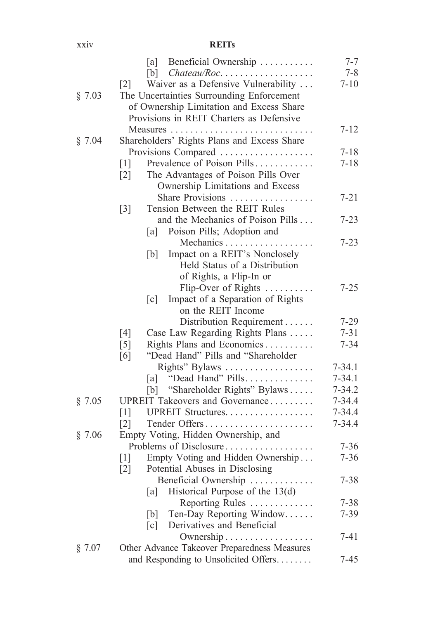#### xxiv **REITs**

|        | [a] Beneficial Ownership                                 | $7 - 7$    |
|--------|----------------------------------------------------------|------------|
|        | $[b]$ Chateau/Roc                                        | $7 - 8$    |
|        | Waiver as a Defensive Vulnerability<br>$\lceil 2 \rceil$ | $7 - 10$   |
| § 7.03 | The Uncertainties Surrounding Enforcement                |            |
|        | of Ownership Limitation and Excess Share                 |            |
|        | Provisions in REIT Charters as Defensive                 |            |
|        | Measures                                                 | $7 - 12$   |
| § 7.04 | Shareholders' Rights Plans and Excess Share              |            |
|        | Provisions Compared                                      | $7 - 18$   |
|        | Prevalence of Poison Pills<br>$\lceil 1 \rceil$          | $7 - 18$   |
|        | The Advantages of Poison Pills Over<br>$\lceil 2 \rceil$ |            |
|        | Ownership Limitations and Excess                         |            |
|        | Share Provisions                                         | $7 - 21$   |
|        | Tension Between the REIT Rules<br>$\lceil 3 \rceil$      |            |
|        | and the Mechanics of Poison Pills                        | $7 - 23$   |
|        | Poison Pills; Adoption and<br>[a]                        |            |
|        | Mechanics                                                | $7 - 23$   |
|        | Impact on a REIT's Nonclosely<br>[b]                     |            |
|        | Held Status of a Distribution                            |            |
|        | of Rights, a Flip-In or                                  |            |
|        | Flip-Over of Rights                                      | $7 - 25$   |
|        | Impact of a Separation of Rights<br>$\lceil c \rceil$    |            |
|        | on the REIT Income                                       |            |
|        | Distribution Requirement                                 | $7 - 29$   |
|        | Case Law Regarding Rights Plans<br>[4]                   | $7 - 31$   |
|        | Rights Plans and Economics<br>$[5]$                      | $7 - 34$   |
|        | "Dead Hand" Pills and "Shareholder<br>[6]                |            |
|        | Rights" Bylaws                                           | $7 - 34.1$ |
|        | "Dead Hand" Pills<br>[a]                                 | $7 - 34.1$ |
|        | "Shareholder Rights" Bylaws<br>[b]                       | $7 - 34.2$ |
| § 7.05 | UPREIT Takeovers and Governance                          | $7 - 34.4$ |
|        | UPREIT Structures.<br>$\lceil 1 \rceil$                  | $7 - 34.4$ |
|        | Tender Offers<br>$\lceil 2 \rceil$                       | $7 - 34.4$ |
| § 7.06 | Empty Voting, Hidden Ownership, and                      |            |
|        | Problems of Disclosure                                   | $7 - 36$   |
|        | Empty Voting and Hidden Ownership<br>$\lceil 1 \rceil$   | $7 - 36$   |
|        | Potential Abuses in Disclosing<br>$[2]$                  |            |
|        | Beneficial Ownership                                     | $7 - 38$   |
|        | Historical Purpose of the $13(d)$<br>[a]                 |            |
|        | Reporting Rules                                          | $7 - 38$   |
|        | Ten-Day Reporting Window<br>[b]                          | $7 - 39$   |
|        | Derivatives and Beneficial<br>$\lceil c \rceil$          |            |
|        | Ownership                                                | $7 - 41$   |
| § 7.07 | Other Advance Takeover Preparedness Measures             |            |
|        | and Responding to Unsolicited Offers                     | $7 - 45$   |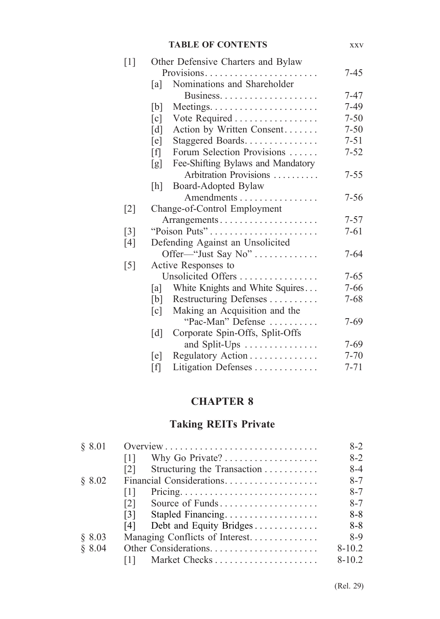|                   |                   | <b>TABLE OF CONTENTS</b>           | <b>XXV</b> |
|-------------------|-------------------|------------------------------------|------------|
| $\lceil 1 \rceil$ |                   | Other Defensive Charters and Bylaw |            |
|                   |                   | Provisions                         | 7-45       |
|                   | [a]               | Nominations and Shareholder        |            |
|                   |                   |                                    | 7-47       |
|                   | [b]               |                                    | $7-49$     |
|                   | $\lceil c \rceil$ | Vote Required                      | $7 - 50$   |
|                   | $\lceil d \rceil$ | Action by Written Consent          | $7 - 50$   |
|                   | $[$ e $]$         | Staggered Boards                   | $7 - 51$   |
|                   | [f]               | Forum Selection Provisions         | $7 - 52$   |
|                   | [g]               | Fee-Shifting Bylaws and Mandatory  |            |
|                   |                   | Arbitration Provisions             | $7 - 55$   |
|                   | [h]               | Board-Adopted Bylaw                |            |
|                   |                   | Amendments                         | 7-56       |
| $\lceil 2 \rceil$ |                   | Change-of-Control Employment       |            |
|                   |                   | Arrangements                       | $7 - 57$   |
| $\lceil 3 \rceil$ |                   | "Poison Puts"                      | $7 - 61$   |
| $[4]$             |                   | Defending Against an Unsolicited   |            |
|                   |                   | Offer-"Just Say No"                | 7-64       |
| $\lceil 5 \rceil$ |                   | Active Responses to                |            |
|                   |                   | Unsolicited Offers                 | $7 - 65$   |
|                   | [a]               | White Knights and White Squires    | $7 - 66$   |
|                   | [b]               | Restructuring Defenses             | $7 - 68$   |
|                   | $\lceil c \rceil$ | Making an Acquisition and the      |            |
|                   |                   | "Pac-Man" Defense                  | 7-69       |
|                   | $\lceil d \rceil$ | Corporate Spin-Offs, Split-Offs    |            |
|                   |                   | and Split-Ups                      | $7 - 69$   |
|                   | [e]               | Regulatory Action                  | $7 - 70$   |
|                   | $[f]$             | Litigation Defenses                | $7 - 71$   |

### **CHAPTER 8**

# **Taking REITs Private**

| \$8.01 |                                                  | $8-2$      |
|--------|--------------------------------------------------|------------|
|        | $\lceil 1 \rceil$                                | $8-2$      |
|        | Structuring the Transaction<br>$\lceil 2 \rceil$ | 8-4        |
| \$8.02 | Financial Considerations                         | $8 - 7$    |
|        | Ш                                                | $8 - 7$    |
|        | $\lceil 2 \rceil$<br>Source of Funds             | $8 - 7$    |
|        | Stapled Financing<br>$\lceil 3 \rceil$           | $8 - 8$    |
|        | Debt and Equity Bridges<br>[4]                   | $8 - 8$    |
| \$8.03 | Managing Conflicts of Interest.                  | 8-9        |
| 8.04   | Other Considerations                             | $8 - 10.2$ |
|        | Market Checks<br> 1                              | $8 - 10.2$ |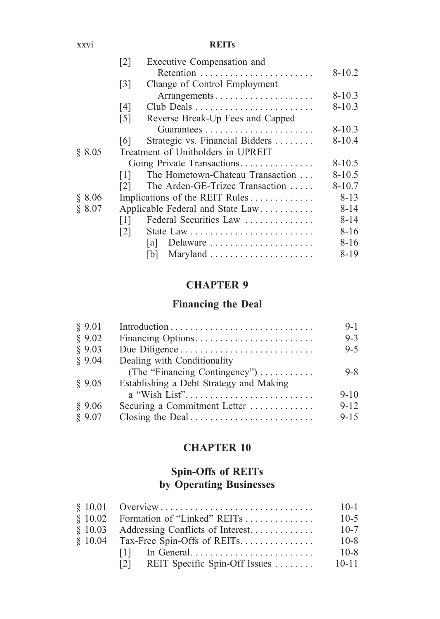#### xxvi **REITs**

|        | $\lceil 2 \rceil$ | Executive Compensation and         |            |
|--------|-------------------|------------------------------------|------------|
|        |                   |                                    | $8 - 10.2$ |
|        | $\lceil 3 \rceil$ | Change of Control Employment       |            |
|        |                   | Arrangements                       | $8 - 10.3$ |
|        | [4]               | Club Deals                         | $8 - 10.3$ |
|        | $\lceil 5 \rceil$ | Reverse Break-Up Fees and Capped   |            |
|        |                   |                                    | $8 - 10.3$ |
|        | 161               | Strategic vs. Financial Bidders    | $8 - 10.4$ |
| § 8.05 |                   | Treatment of Unitholders in UPREIT |            |
|        |                   | Going Private Transactions         | $8 - 10.5$ |
|        | 1                 | The Hometown-Chateau Transaction   | $8 - 10.5$ |
|        | 121               | The Arden-GE-Trizec Transaction    | $8 - 10.7$ |
| § 8.06 |                   | Implications of the REIT Rules     | $8 - 13$   |
| § 8.07 |                   | Applicable Federal and State Law   | $8 - 14$   |
|        | 111               | Federal Securities Law             | $8 - 14$   |
|        | 2                 |                                    | $8 - 16$   |
|        | la I              | Delaware                           | $8 - 16$   |
|        | IbI               |                                    | $8 - 19$   |
|        |                   |                                    |            |

#### **CHAPTER 9**

#### **Financing the Deal**

| § 9.01 |                                         | $9 - 1$  |
|--------|-----------------------------------------|----------|
| § 9.02 | Financing Options                       | $9 - 3$  |
| \$9.03 |                                         | $9 - 5$  |
| \$9.04 | Dealing with Conditionality             |          |
|        | (The "Financing Contingency")           | $9 - 8$  |
| § 9.05 | Establishing a Debt Strategy and Making |          |
|        | a "Wish List"                           | $9 - 10$ |
| \$9.06 | Securing a Commitment Letter            | $9 - 12$ |
| § 9.07 |                                         | $9 - 15$ |
|        |                                         |          |

#### **CHAPTER 10**

### **Spin-Offs of REITs by Operating Businesses**

|                                                    | $10-1$    |
|----------------------------------------------------|-----------|
|                                                    | $10-5$    |
| $§$ 10.03 Addressing Conflicts of Interest         | $10 - 7$  |
| $§$ 10.04 Tax-Free Spin-Offs of REITs              | $10 - 8$  |
|                                                    | $10 - 8$  |
| REIT Specific Spin-Off Issues $\dots \dots$<br>121 | $10 - 11$ |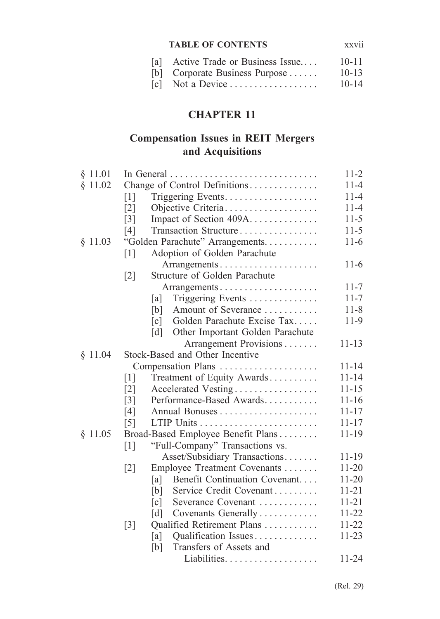#### **TABLE OF CONTENTS** xxvii

| [a] Active Trade or Business Issue | $10 - 11$ |
|------------------------------------|-----------|
| [b] Corporate Business Purpose     | $10 - 13$ |
| $[c]$ Not a Device                 | $10 - 14$ |

### **CHAPTER 11**

#### **Compensation Issues in REIT Mergers and Acquisitions**

| § 11.01 |                   | In General                                       | $11-2$    |
|---------|-------------------|--------------------------------------------------|-----------|
| § 11.02 |                   | Change of Control Definitions                    | $11 - 4$  |
|         | $\lceil 1 \rceil$ | Triggering Events.                               | $11 - 4$  |
|         | $\lceil 2 \rceil$ | Objective Criteria                               | $11 - 4$  |
|         | $\lceil 3 \rceil$ | Impact of Section 409A                           | $11-5$    |
|         | [4]               | Transaction Structure                            | $11 - 5$  |
| § 11.03 |                   | "Golden Parachute" Arrangements.                 | $11-6$    |
|         | $\lceil 1 \rceil$ | Adoption of Golden Parachute                     |           |
|         |                   | Arrangements                                     | 11-6      |
|         | $[2]$             | Structure of Golden Parachute                    |           |
|         |                   | Arrangements                                     | $11 - 7$  |
|         |                   | Triggering Events<br> a                          | $11 - 7$  |
|         |                   | Amount of Severance<br>[b]                       | $11 - 8$  |
|         |                   | Golden Parachute Excise Tax<br>$\lceil c \rceil$ | $11-9$    |
|         |                   | Other Important Golden Parachute<br>[d]          |           |
|         |                   | Arrangement Provisions                           | $11 - 13$ |
| § 11.04 |                   | Stock-Based and Other Incentive                  |           |
|         |                   | Compensation Plans                               | $11 - 14$ |
|         | $\lceil 1 \rceil$ | Treatment of Equity Awards                       | $11 - 14$ |
|         | $\lceil 2 \rceil$ | Accelerated Vesting                              | $11 - 15$ |
|         | $\lceil 3 \rceil$ | Performance-Based Awards                         | $11 - 16$ |
|         | [4]               |                                                  | $11 - 17$ |
|         | $\lceil 5 \rceil$ |                                                  | $11 - 17$ |
| § 11.05 |                   | Broad-Based Employee Benefit Plans               | $11 - 19$ |
|         | $\lceil 1 \rceil$ | "Full-Company" Transactions vs.                  |           |
|         |                   | Asset/Subsidiary Transactions                    | 11-19     |
|         | $\lceil 2 \rceil$ | Employee Treatment Covenants                     | $11 - 20$ |
|         |                   | Benefit Continuation Covenant<br>[a]             | $11 - 20$ |
|         |                   | Service Credit Covenant<br>[b]                   | $11 - 21$ |
|         |                   | Severance Covenant<br>$\lceil c \rceil$          | $11 - 21$ |
|         |                   | Covenants Generally<br>[d]                       | $11 - 22$ |
|         | $\lceil 3 \rceil$ | Qualified Retirement Plans                       | $11 - 22$ |
|         |                   | Qualification Issues<br>[a]                      | $11 - 23$ |
|         |                   | Transfers of Assets and<br>[b]                   |           |
|         |                   | Liabilities.                                     | $11 - 24$ |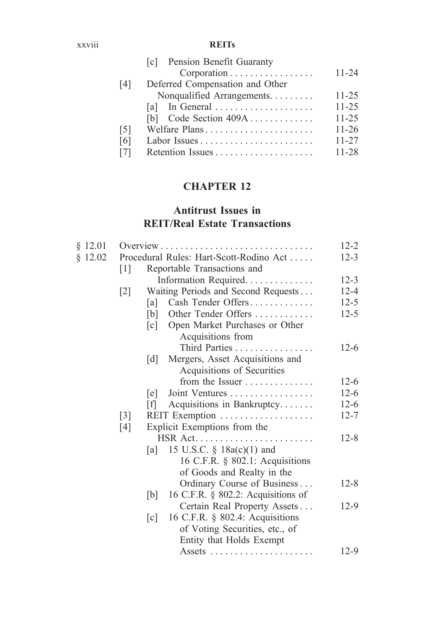#### xxviii **REITs**

|                   | Pension Benefit Guaranty<br> c <br>Corporation | $11 - 24$ |
|-------------------|------------------------------------------------|-----------|
| [4]               | Deferred Compensation and Other                |           |
|                   | Nonqualified Arrangements                      | $11 - 25$ |
|                   |                                                | $11 - 25$ |
|                   | Code Section $409A$<br><u>Ibl</u>              | $11 - 25$ |
| $\lceil 5 \rceil$ |                                                | $11 - 26$ |
| [6]               |                                                | $11 - 27$ |
| 171               |                                                | $11 - 28$ |
|                   |                                                |           |

### **CHAPTER 12**

### **Antitrust Issues in REIT/Real Estate Transactions**

| $§$ 12.01 |                   |                                                      | $12 - 2$ |
|-----------|-------------------|------------------------------------------------------|----------|
| \$12.02   |                   | Procedural Rules: Hart-Scott-Rodino Act              | $12 - 3$ |
|           | 1                 | Reportable Transactions and                          |          |
|           |                   | Information Required                                 | $12 - 3$ |
|           | $[2]$             | Waiting Periods and Second Requests                  | $12 - 4$ |
|           |                   | Cash Tender Offers<br>[a]                            | $12 - 5$ |
|           |                   | Other Tender Offers<br>[b]                           | $12 - 5$ |
|           |                   | $\lceil c \rceil$<br>Open Market Purchases or Other  |          |
|           |                   | Acquisitions from                                    |          |
|           |                   | Third Parties                                        | $12-6$   |
|           |                   | Mergers, Asset Acquisitions and<br>[d]               |          |
|           |                   | Acquisitions of Securities                           |          |
|           |                   | from the Issuer                                      | $12-6$   |
|           |                   | Joint Ventures<br>[e]                                | $12 - 6$ |
|           |                   | Acquisitions in Bankruptcy<br>[f]                    | $12-6$   |
|           | $\lceil 3 \rceil$ | REIT Exemption                                       | $12 - 7$ |
|           | [4]               | Explicit Exemptions from the                         |          |
|           |                   |                                                      | $12 - 8$ |
|           |                   | 15 U.S.C. $\S$ 18a(c)(1) and<br> a                   |          |
|           |                   | 16 C.F.R. § 802.1: Acquisitions                      |          |
|           |                   | of Goods and Realty in the                           |          |
|           |                   | Ordinary Course of Business                          | $12 - 8$ |
|           |                   | 16 C.F.R. $\S$ 802.2: Acquisitions of<br>[b]         |          |
|           |                   | Certain Real Property Assets                         | $12-9$   |
|           |                   | 16 C.F.R. § 802.4: Acquisitions<br>$\lceil c \rceil$ |          |
|           |                   | of Voting Securities, etc., of                       |          |
|           |                   | Entity that Holds Exempt                             |          |
|           |                   |                                                      | $12-9$   |
|           |                   |                                                      |          |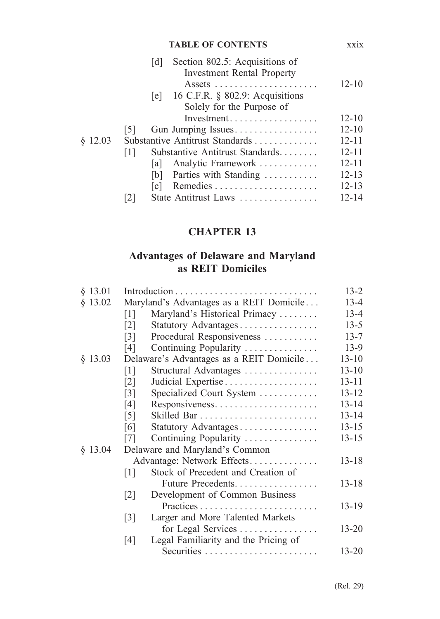#### **TABLE OF CONTENTS** xxix

|         |         | d     | Section 802.5: Acquisitions of<br><b>Investment Rental Property</b> | $12 - 10$ |
|---------|---------|-------|---------------------------------------------------------------------|-----------|
|         |         |       | [e] 16 C.F.R. $\S$ 802.9: Acquisitions<br>Solely for the Purpose of |           |
|         |         |       |                                                                     | $12 - 10$ |
|         | 15 I    |       | Gun Jumping Issues                                                  | $12 - 10$ |
| \$12.03 |         |       | Substantive Antitrust Standards                                     | $12 - 11$ |
|         | $\perp$ |       | Substantive Antitrust Standards                                     | $12 - 11$ |
|         |         | lal I | Analytic Framework                                                  | $12 - 11$ |
|         |         |       | [b] Parties with Standing                                           | $12 - 13$ |
|         |         | c     |                                                                     | $12 - 13$ |
|         |         |       | State Antitrust Laws                                                | $12 - 14$ |
|         |         |       |                                                                     |           |

### **CHAPTER 13**

### **Advantages of Delaware and Maryland as REIT Domiciles**

| $§$ 13.01 |                   |                                          | $13 - 2$  |
|-----------|-------------------|------------------------------------------|-----------|
| $§$ 13.02 |                   | Maryland's Advantages as a REIT Domicile | $13 - 4$  |
|           | $\lceil 1 \rceil$ | Maryland's Historical Primacy            | $13 - 4$  |
|           | $\lceil 2 \rceil$ | Statutory Advantages                     | $13 - 5$  |
|           | $\lceil 3 \rceil$ | Procedural Responsiveness                | $13 - 7$  |
|           | [4]               | Continuing Popularity                    | $13-9$    |
| $§$ 13.03 |                   | Delaware's Advantages as a REIT Domicile | $13 - 10$ |
|           | $\lceil 1 \rceil$ | Structural Advantages                    | $13 - 10$ |
|           | $\lceil 2 \rceil$ |                                          | $13 - 11$ |
|           | $\lceil 3 \rceil$ | Specialized Court System                 | $13 - 12$ |
|           | [4]               | Responsiveness                           | $13 - 14$ |
|           | $\lceil 5 \rceil$ |                                          | $13 - 14$ |
|           | [6]               | Statutory Advantages                     | $13 - 15$ |
|           | $\lceil 7 \rceil$ | Continuing Popularity                    | $13 - 15$ |
| $§$ 13.04 |                   | Delaware and Maryland's Common           |           |
|           |                   | Advantage: Network Effects               | $13 - 18$ |
|           | $\lceil 1 \rceil$ | Stock of Precedent and Creation of       |           |
|           |                   | Future Precedents                        | $13 - 18$ |
|           | $\lceil 2 \rceil$ | Development of Common Business           |           |
|           |                   | Practices                                | $13 - 19$ |
|           | $\lceil 3 \rceil$ | Larger and More Talented Markets         |           |
|           |                   | for Legal Services                       | $13 - 20$ |
|           | [4]               | Legal Familiarity and the Pricing of     |           |
|           |                   | Securities                               | $13 - 20$ |